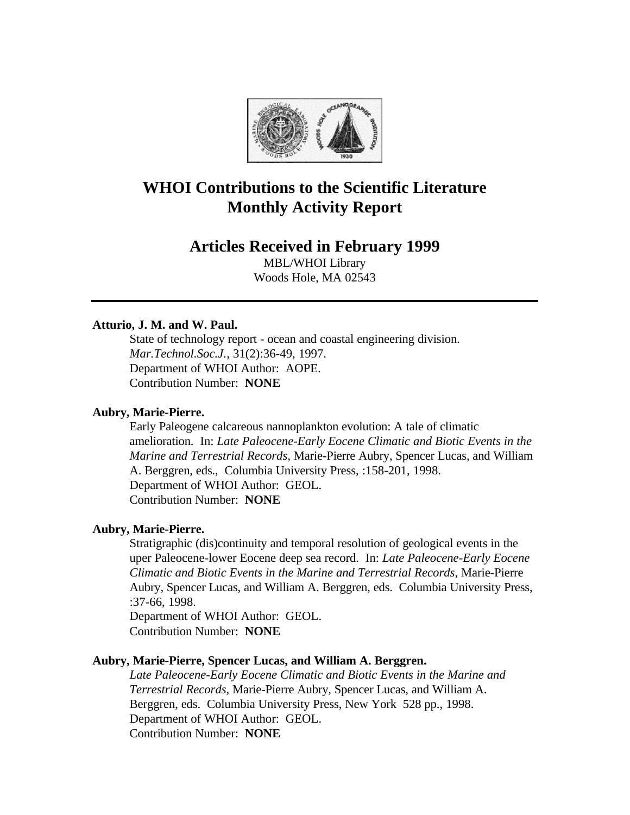

# **WHOI Contributions to the Scientific Literature Monthly Activity Report**

# **Articles Received in February 1999**

MBL/WHOI Library Woods Hole, MA 02543

# **Atturio, J. M. and W. Paul.**

State of technology report - ocean and coastal engineering division. *Mar.Technol.Soc.J.*, 31(2):36-49, 1997. Department of WHOI Author: AOPE. Contribution Number: **NONE**

# **Aubry, Marie-Pierre.**

Early Paleogene calcareous nannoplankton evolution: A tale of climatic amelioration. In: *Late Paleocene-Early Eocene Climatic and Biotic Events in the Marine and Terrestrial Records,* Marie-Pierre Aubry, Spencer Lucas, and William A. Berggren, eds., Columbia University Press, :158-201, 1998. Department of WHOI Author: GEOL. Contribution Number: **NONE**

#### **Aubry, Marie-Pierre.**

Stratigraphic (dis)continuity and temporal resolution of geological events in the uper Paleocene-lower Eocene deep sea record. In: *Late Paleocene-Early Eocene Climatic and Biotic Events in the Marine and Terrestrial Records,* Marie-Pierre Aubry, Spencer Lucas, and William A. Berggren, eds. Columbia University Press, :37-66, 1998.

Department of WHOI Author: GEOL. Contribution Number: **NONE**

#### **Aubry, Marie-Pierre, Spencer Lucas, and William A. Berggren.**

*Late Paleocene-Early Eocene Climatic and Biotic Events in the Marine and Terrestrial Records,* Marie-Pierre Aubry, Spencer Lucas, and William A. Berggren, eds. Columbia University Press, New York 528 pp., 1998. Department of WHOI Author: GEOL. Contribution Number: **NONE**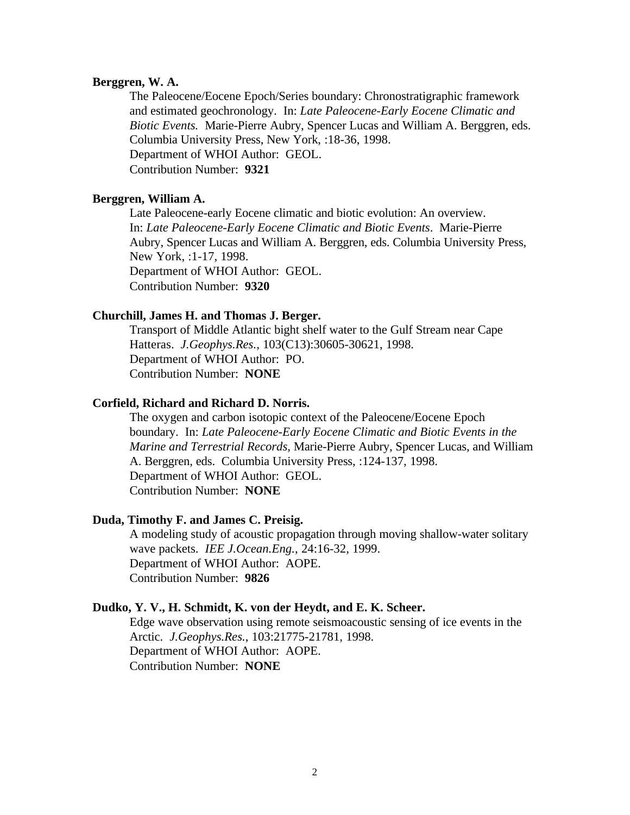#### **Berggren, W. A.**

The Paleocene/Eocene Epoch/Series boundary: Chronostratigraphic framework and estimated geochronology. In: *Late Paleocene-Early Eocene Climatic and Biotic Events.* Marie-Pierre Aubry, Spencer Lucas and William A. Berggren, eds. Columbia University Press, New York, :18-36, 1998. Department of WHOI Author: GEOL. Contribution Number: **9321**

# **Berggren, William A.**

Late Paleocene-early Eocene climatic and biotic evolution: An overview. In: *Late Paleocene-Early Eocene Climatic and Biotic Events*. Marie-Pierre Aubry, Spencer Lucas and William A. Berggren, eds. Columbia University Press, New York, :1-17, 1998. Department of WHOI Author: GEOL. Contribution Number: **9320**

#### **Churchill, James H. and Thomas J. Berger.**

Transport of Middle Atlantic bight shelf water to the Gulf Stream near Cape Hatteras. *J.Geophys.Res.*, 103(C13):30605-30621, 1998. Department of WHOI Author: PO. Contribution Number: **NONE**

### **Corfield, Richard and Richard D. Norris.**

The oxygen and carbon isotopic context of the Paleocene/Eocene Epoch boundary. In: *Late Paleocene-Early Eocene Climatic and Biotic Events in the Marine and Terrestrial Records,* Marie-Pierre Aubry, Spencer Lucas, and William A. Berggren, eds. Columbia University Press, :124-137, 1998. Department of WHOI Author: GEOL. Contribution Number: **NONE**

#### **Duda, Timothy F. and James C. Preisig.**

A modeling study of acoustic propagation through moving shallow-water solitary wave packets. *IEE J.Ocean.Eng.*, 24:16-32, 1999. Department of WHOI Author: AOPE. Contribution Number: **9826**

#### **Dudko, Y. V., H. Schmidt, K. von der Heydt, and E. K. Scheer.**

Edge wave observation using remote seismoacoustic sensing of ice events in the Arctic. *J.Geophys.Res.*, 103:21775-21781, 1998. Department of WHOI Author: AOPE. Contribution Number: **NONE**